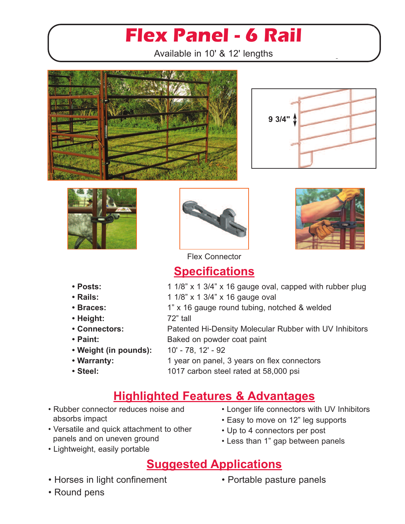# **Flex Panel - 6 Rail**

Available in 10' & 12' lengths











Flex Connector

### **Specifications**

- **Posts:** 1 1/8" x 1 3/4" x 16 gauge oval, capped with rubber plug
- **• Rails:** 1 1/8" x 1 3/4" x 16 gauge oval
- **Braces:** 1" x 16 gauge round tubing, notched & welded **• Height:** 72" tall
- **• Connectors:** Patented Hi-Density Molecular Rubber with UV Inhibitors • **Paint:** Baked on powder coat paint
- **• Weight (in pounds):** 10' 78, 12' 92
- 
- 

• **Warranty:** 1 year on panel, 3 years on flex connectors

**• Steel:** 1017 carbon steel rated at 58,000 psi

### **Highlighted Features & Advantages**

- Rubber connector reduces noise and absorbs impact
- Versatile and quick attachment to other panels and on uneven ground
- Lightweight, easily portable
- Longer life connectors with UV Inhibitors
- Easy to move on 12" leg supports
- Up to 4 connectors per post
- Less than 1" gap between panels

#### **Suggested Applications**

- Horses in light confinement
- Portable pasture panels

• Round pens